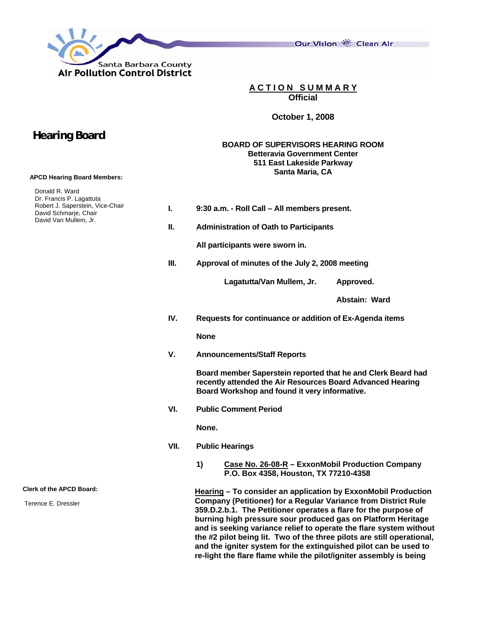

 **Hearing Board**

 **APCD Hearing Board Members:** 

Donald R. Ward

Our Vision 卷 Clean Air

**A C T I O N S U M M A R Y Official** 

**October 1, 2008** 

## **BOARD OF SUPERVISORS HEARING ROOM Betteravia Government Center 511 East Lakeside Parkway Santa Maria, CA**

| Dr. Francis P. Lagattuta<br>Robert J. Saperstein, Vice-Chair | L.   | 9:30 a.m. - Roll Call - All members present.                                                                                                                                                                                                                                                                                                                                                                                                                                                                                                                        |  |  |
|--------------------------------------------------------------|------|---------------------------------------------------------------------------------------------------------------------------------------------------------------------------------------------------------------------------------------------------------------------------------------------------------------------------------------------------------------------------------------------------------------------------------------------------------------------------------------------------------------------------------------------------------------------|--|--|
| David Schmarje, Chair<br>David Van Mullem, Jr.               |      |                                                                                                                                                                                                                                                                                                                                                                                                                                                                                                                                                                     |  |  |
|                                                              | Ш.   | <b>Administration of Oath to Participants</b>                                                                                                                                                                                                                                                                                                                                                                                                                                                                                                                       |  |  |
|                                                              |      | All participants were sworn in.                                                                                                                                                                                                                                                                                                                                                                                                                                                                                                                                     |  |  |
|                                                              | Ш.   | Approval of minutes of the July 2, 2008 meeting                                                                                                                                                                                                                                                                                                                                                                                                                                                                                                                     |  |  |
|                                                              |      | Lagatutta/Van Mullem, Jr.<br>Approved.                                                                                                                                                                                                                                                                                                                                                                                                                                                                                                                              |  |  |
|                                                              |      | Abstain: Ward                                                                                                                                                                                                                                                                                                                                                                                                                                                                                                                                                       |  |  |
|                                                              | IV.  | Requests for continuance or addition of Ex-Agenda items                                                                                                                                                                                                                                                                                                                                                                                                                                                                                                             |  |  |
|                                                              |      | <b>None</b>                                                                                                                                                                                                                                                                                                                                                                                                                                                                                                                                                         |  |  |
|                                                              | V.   | <b>Announcements/Staff Reports</b>                                                                                                                                                                                                                                                                                                                                                                                                                                                                                                                                  |  |  |
|                                                              |      | Board member Saperstein reported that he and Clerk Beard had<br>recently attended the Air Resources Board Advanced Hearing<br>Board Workshop and found it very informative.                                                                                                                                                                                                                                                                                                                                                                                         |  |  |
|                                                              | VI.  | <b>Public Comment Period</b>                                                                                                                                                                                                                                                                                                                                                                                                                                                                                                                                        |  |  |
|                                                              |      | None.                                                                                                                                                                                                                                                                                                                                                                                                                                                                                                                                                               |  |  |
|                                                              | VII. | <b>Public Hearings</b>                                                                                                                                                                                                                                                                                                                                                                                                                                                                                                                                              |  |  |
|                                                              |      | 1)<br>Case No. 26-08-R - ExxonMobil Production Company<br>P.O. Box 4358, Houston, TX 77210-4358                                                                                                                                                                                                                                                                                                                                                                                                                                                                     |  |  |
| <b>Clerk of the APCD Board:</b>                              |      | Hearing - To consider an application by ExxonMobil Production<br><b>Company (Petitioner) for a Regular Variance from District Rule</b><br>359.D.2.b.1. The Petitioner operates a flare for the purpose of<br>burning high pressure sour produced gas on Platform Heritage<br>and is seeking variance relief to operate the flare system without<br>the #2 pilot being lit. Two of the three pilots are still operational,<br>and the igniter system for the extinguished pilot can be used to<br>re-light the flare flame while the pilot/igniter assembly is being |  |  |
| Terence E. Dressler                                          |      |                                                                                                                                                                                                                                                                                                                                                                                                                                                                                                                                                                     |  |  |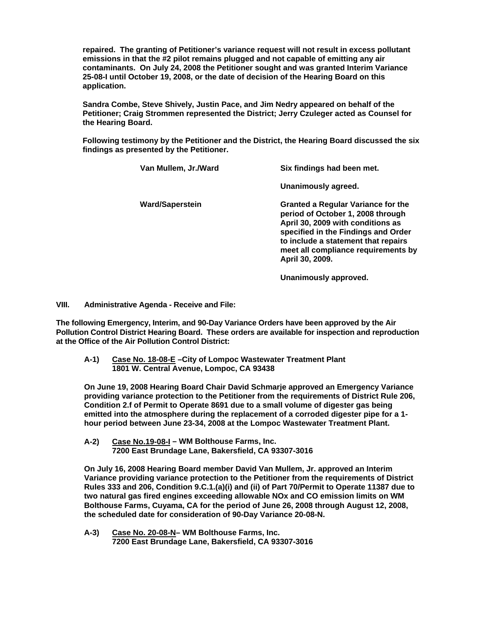**repaired. The granting of Petitioner's variance request will not result in excess pollutant emissions in that the #2 pilot remains plugged and not capable of emitting any air contaminants. On July 24, 2008 the Petitioner sought and was granted Interim Variance 25-08-I until October 19, 2008, or the date of decision of the Hearing Board on this application.** 

**Sandra Combe, Steve Shively, Justin Pace, and Jim Nedry appeared on behalf of the Petitioner; Craig Strommen represented the District; Jerry Czuleger acted as Counsel for the Hearing Board.** 

**Following testimony by the Petitioner and the District, the Hearing Board discussed the six findings as presented by the Petitioner.** 

| Van Mullem, Jr./Ward   | Six findings had been met.                                                                                                                                                                                                                                  |
|------------------------|-------------------------------------------------------------------------------------------------------------------------------------------------------------------------------------------------------------------------------------------------------------|
|                        | Unanimously agreed.                                                                                                                                                                                                                                         |
| <b>Ward/Saperstein</b> | <b>Granted a Regular Variance for the</b><br>period of October 1, 2008 through<br>April 30, 2009 with conditions as<br>specified in the Findings and Order<br>to include a statement that repairs<br>meet all compliance requirements by<br>April 30, 2009. |

 **Unanimously approved.** 

**VIII. Administrative Agenda - Receive and File:** 

**The following Emergency, Interim, and 90-Day Variance Orders have been approved by the Air Pollution Control District Hearing Board. These orders are available for inspection and reproduction at the Office of the Air Pollution Control District:** 

 **A-1) Case No. 18-08-E –City of Lompoc Wastewater Treatment Plant 1801 W. Central Avenue, Lompoc, CA 93438** 

**On June 19, 2008 Hearing Board Chair David Schmarje approved an Emergency Variance providing variance protection to the Petitioner from the requirements of District Rule 206, Condition 2.f of Permit to Operate 8691 due to a small volume of digester gas being emitted into the atmosphere during the replacement of a corroded digester pipe for a 1 hour period between June 23-34, 2008 at the Lompoc Wastewater Treatment Plant.** 

 **A-2) Case No.19-08-I – WM Bolthouse Farms, Inc. 7200 East Brundage Lane, Bakersfield, CA 93307-3016** 

 **On July 16, 2008 Hearing Board member David Van Mullem, Jr. approved an Interim Variance providing variance protection to the Petitioner from the requirements of District Rules 333 and 206, Condition 9.C.1.(a)(i) and (ii) of Part 70/Permit to Operate 11387 due to two natural gas fired engines exceeding allowable NOx and CO emission limits on WM Bolthouse Farms, Cuyama, CA for the period of June 26, 2008 through August 12, 2008, the scheduled date for consideration of 90-Day Variance 20-08-N.** 

 **A-3) Case No. 20-08-N– WM Bolthouse Farms, Inc. 7200 East Brundage Lane, Bakersfield, CA 93307-3016**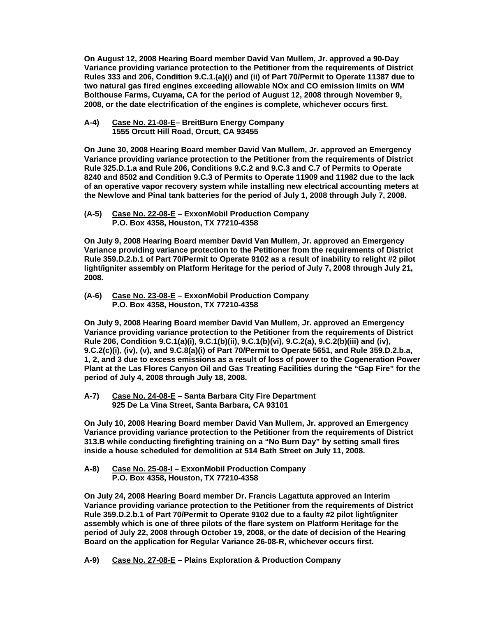**On August 12, 2008 Hearing Board member David Van Mullem, Jr. approved a 90-Day Variance providing variance protection to the Petitioner from the requirements of District Rules 333 and 206, Condition 9.C.1.(a)(i) and (ii) of Part 70/Permit to Operate 11387 due to two natural gas fired engines exceeding allowable NOx and CO emission limits on WM Bolthouse Farms, Cuyama, CA for the period of August 12, 2008 through November 9, 2008, or the date electrification of the engines is complete, whichever occurs first.** 

 **A-4) Case No. 21-08-E– BreitBurn Energy Company 1555 Orcutt Hill Road, Orcutt, CA 93455** 

 **On June 30, 2008 Hearing Board member David Van Mullem, Jr. approved an Emergency Variance providing variance protection to the Petitioner from the requirements of District Rule 325.D.1.a and Rule 206, Conditions 9.C.2 and 9.C.3 and C.7 of Permits to Operate 8240 and 8502 and Condition 9.C.3 of Permits to Operate 11909 and 11982 due to the lack of an operative vapor recovery system while installing new electrical accounting meters at the Newlove and Pinal tank batteries for the period of July 1, 2008 through July 7, 2008.** 

 **(A-5) Case No. 22-08-E – ExxonMobil Production Company P.O. Box 4358, Houston, TX 77210-4358** 

 **On July 9, 2008 Hearing Board member David Van Mullem, Jr. approved an Emergency Variance providing variance protection to the Petitioner from the requirements of District Rule 359.D.2.b.1 of Part 70/Permit to Operate 9102 as a result of inability to relight #2 pilot light/igniter assembly on Platform Heritage for the period of July 7, 2008 through July 21, 2008.** 

 **(A-6) Case No. 23-08-E – ExxonMobil Production Company P.O. Box 4358, Houston, TX 77210-4358** 

 **On July 9, 2008 Hearing Board member David Van Mullem, Jr. approved an Emergency Variance providing variance protection to the Petitioner from the requirements of District Rule 206, Condition 9.C.1(a)(i), 9.C.1(b)(ii), 9.C.1(b)(vi), 9.C.2(a), 9.C.2(b)(iii) and (iv), 9.C.2(c)(i), (iv), (v), and 9.C.8(a)(i) of Part 70/Permit to Operate 5651, and Rule 359.D.2.b.a, 1, 2, and 3 due to excess emissions as a result of loss of power to the Cogeneration Power Plant at the Las Flores Canyon Oil and Gas Treating Facilities during the "Gap Fire" for the period of July 4, 2008 through July 18, 2008.** 

 **A-7) Case No. 24-08-E – Santa Barbara City Fire Department 925 De La Vina Street, Santa Barbara, CA 93101** 

 **On July 10, 2008 Hearing Board member David Van Mullem, Jr. approved an Emergency Variance providing variance protection to the Petitioner from the requirements of District 313.B while conducting firefighting training on a "No Burn Day" by setting small fires inside a house scheduled for demolition at 514 Bath Street on July 11, 2008.** 

 **A-8) Case No. 25-08-I – ExxonMobil Production Company P.O. Box 4358, Houston, TX 77210-4358** 

**On July 24, 2008 Hearing Board member Dr. Francis Lagattuta approved an Interim Variance providing variance protection to the Petitioner from the requirements of District Rule 359.D.2.b.1 of Part 70/Permit to Operate 9102 due to a faulty #2 pilot light/igniter assembly which is one of three pilots of the flare system on Platform Heritage for the period of July 22, 2008 through October 19, 2008, or the date of decision of the Hearing Board on the application for Regular Variance 26-08-R, whichever occurs first.** 

**A-9) Case No. 27-08-E – Plains Exploration & Production Company**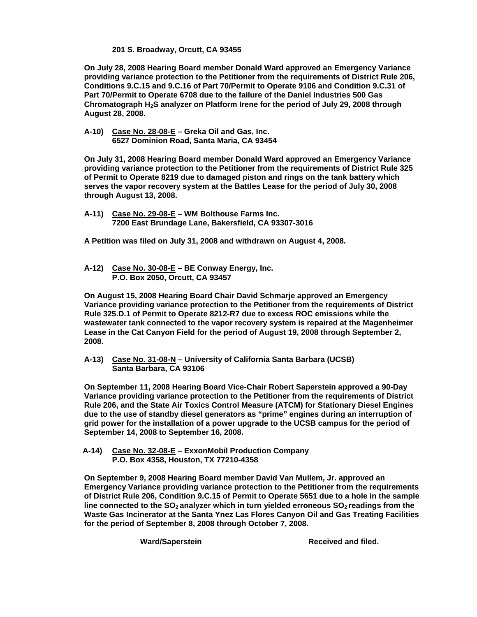**201 S. Broadway, Orcutt, CA 93455** 

**On July 28, 2008 Hearing Board member Donald Ward approved an Emergency Variance providing variance protection to the Petitioner from the requirements of District Rule 206, Conditions 9.C.15 and 9.C.16 of Part 70/Permit to Operate 9106 and Condition 9.C.31 of Part 70/Permit to Operate 6708 due to the failure of the Daniel Industries 500 Gas Chromatograph H2S analyzer on Platform Irene for the period of July 29, 2008 through August 28, 2008.** 

**A-10) Case No. 28-08-E – Greka Oil and Gas, Inc. 6527 Dominion Road, Santa Maria, CA 93454** 

**On July 31, 2008 Hearing Board member Donald Ward approved an Emergency Variance providing variance protection to the Petitioner from the requirements of District Rule 325 of Permit to Operate 8219 due to damaged piston and rings on the tank battery which serves the vapor recovery system at the Battles Lease for the period of July 30, 2008 through August 13, 2008.** 

**A-11) Case No. 29-08-E – WM Bolthouse Farms Inc. 7200 East Brundage Lane, Bakersfield, CA 93307-3016** 

**A Petition was filed on July 31, 2008 and withdrawn on August 4, 2008.** 

**A-12) Case No. 30-08-E – BE Conway Energy, Inc. P.O. Box 2050, Orcutt, CA 93457** 

**On August 15, 2008 Hearing Board Chair David Schmarje approved an Emergency Variance providing variance protection to the Petitioner from the requirements of District Rule 325.D.1 of Permit to Operate 8212-R7 due to excess ROC emissions while the wastewater tank connected to the vapor recovery system is repaired at the Magenheimer Lease in the Cat Canyon Field for the period of August 19, 2008 through September 2, 2008.** 

**A-13) Case No. 31-08-N – University of California Santa Barbara (UCSB) Santa Barbara, CA 93106** 

**On September 11, 2008 Hearing Board Vice-Chair Robert Saperstein approved a 90-Day Variance providing variance protection to the Petitioner from the requirements of District Rule 206, and the State Air Toxics Control Measure (ATCM) for Stationary Diesel Engines due to the use of standby diesel generators as "prime" engines during an interruption of grid power for the installation of a power upgrade to the UCSB campus for the period of September 14, 2008 to September 16, 2008.** 

**A-14) Case No. 32-08-E – ExxonMobil Production Company P.O. Box 4358, Houston, TX 77210-4358** 

**On September 9, 2008 Hearing Board member David Van Mullem, Jr. approved an Emergency Variance providing variance protection to the Petitioner from the requirements of District Rule 206, Condition 9.C.15 of Permit to Operate 5651 due to a hole in the sample**  line connected to the SO<sub>2</sub> analyzer which in turn yielded erroneous SO<sub>2</sub> readings from the **Waste Gas Incinerator at the Santa Ynez Las Flores Canyon Oil and Gas Treating Facilities for the period of September 8, 2008 through October 7, 2008.** 

Ward/Saperstein **Ward/Saperstein Received and filed.**